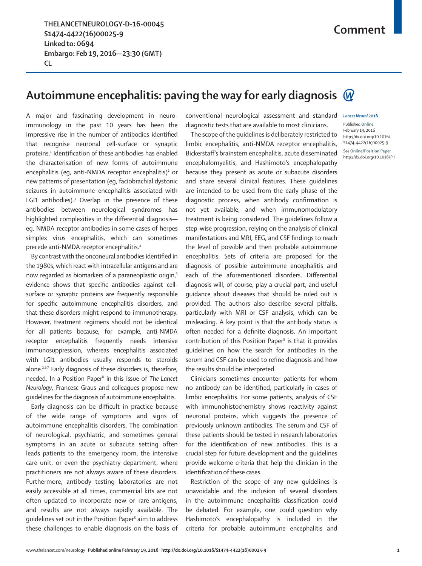**THELANCETNEUROLOGY-D-16-00045 S1474-4422(16)00025-9 Linked to: 0694 Embargo: Feb 19, 2016—23:30 (GMT) CL**

## **Autoimmune encephalitis: paving the way for early diagnosis**

A major and fascinating development in neuroimmunology in the past 10 years has been the impressive rise in the number of antibodies identified that recognise neuronal cell-surface or synaptic proteins.<sup>1</sup> Identification of these antibodies has enabled the characterisation of new forms of autoimmune encephalitis (eg, anti-NMDA receptor encephalitis)<sup>2</sup> or new patterns of presentation (eg, faciobrachial dystonic seizures in autoimmune encephalitis associated with LGI1 antibodies).<sup>3</sup> Overlap in the presence of these antibodies between neurological syndromes has highlighted complexities in the differential diagnosis eg, NMDA receptor antibodies in some cases of herpes simplex virus encephalitis, which can sometimes precede anti-NMDA receptor encephalitis.4

By contrast with the onconeural antibodies identified in the 1980s, which react with intracellular antigens and are now regarded as biomarkers of a paraneoplastic origin,<sup>5</sup> evidence shows that specific antibodies against cellsurface or synaptic proteins are frequently responsible for specific autoimmune encephalitis disorders, and that these disorders might respond to immunotherapy. However, treatment regimens should not be identical for all patients because, for example, anti-NMDA receptor encephalitis frequently needs intensive immunosuppression, whereas encephalitis associated with LGI1 antibodies usually responds to steroids alone.<sup>2,6,7</sup> Early diagnosis of these disorders is, therefore, needed. In a Position Paper<sup>8</sup> in this issue of The Lancet *Neurology*, Francesc Graus and colleagues propose new guidelines for the diagnosis of autoimmune encephalitis.

Early diagnosis can be difficult in practice because of the wide range of symptoms and signs of autoimmune encephalitis disorders. The combination of neurological, psychiatric, and sometimes general symptoms in an acute or subacute setting often leads patients to the emergency room, the intensive care unit, or even the psychiatry department, where practitioners are not always aware of these disorders. Furthermore, antibody testing laboratories are not easily accessible at all times, commercial kits are not often updated to incorporate new or rare antigens, and results are not always rapidly available. The guidelines set out in the Position Paper<sup>8</sup> aim to address these challenges to enable diagnosis on the basis of

*Lancet Neurol* **2016** conventional neurological assessment and standard diagnostic tests that are available to most clinicians.

The scope of the guidelines is deliberately restricted to limbic encephalitis, anti-NMDA receptor encephalitis, Bickerstaff's brainstem encephalitis, acute disseminated encephalomyelitis, and Hashimoto's encephalopathy because they present as acute or subacute disorders and share several clinical features. These guidelines are intended to be used from the early phase of the diagnostic process, when antibody confirmation is not yet available, and when immunomodulatory treatment is being considered. The guidelines follow a step-wise progression, relying on the analysis of clinical manifestations and MRI, EEG, and CSF findings to reach the level of possible and then probable autoimmune encephalitis. Sets of criteria are proposed for the diagnosis of possible autoimmune encephalitis and each of the aforementioned disorders. Differential diagnosis will, of course, play a crucial part, and useful guidance about diseases that should be ruled out is provided. The authors also describe several pitfalls, particularly with MRI or CSF analysis, which can be misleading. A key point is that the antibody status is often needed for a definite diagnosis. An important contribution of this Position Paper<sup>8</sup> is that it provides guidelines on how the search for antibodies in the serum and CSF can be used to refine diagnosis and how the results should be interpreted.

Clinicians sometimes encounter patients for whom no antibody can be identified, particularly in cases of limbic encephalitis. For some patients, analysis of CSF with immunohistochemistry shows reactivity against neuronal proteins, which suggests the presence of previously unknown antibodies. The serum and CSF of these patients should be tested in research laboratories for the identification of new antibodies. This is a crucial step for future development and the guidelines provide welcome criteria that help the clinician in the identification of these cases.

Restriction of the scope of any new guidelines is unavoidable and the inclusion of several disorders in the autoimmune encephalitis classification could be debated. For example, one could question why Hashimoto's encephalopathy is included in the criteria for probable autoimmune encephalitis and

Published **Online** February 19, 2016 http://dx.doi.org/10.1016/ S1474-4422(16)00025-9 See **Online/Position Paper** http://dx.doi.org/10.1016/PII